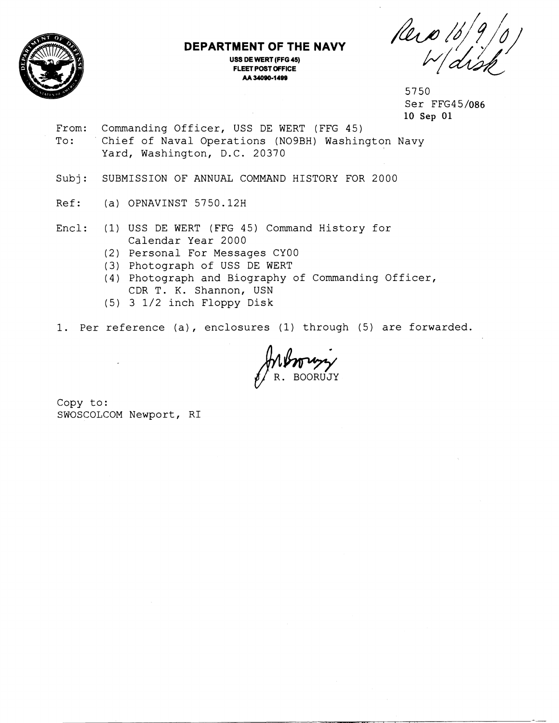

## **DEPARTMENT OF THE NAVY**

**USS DE WERT (FFG 45) FLEET POST OFFICE** 

h *I\$\$,/*  ENT OF THE NAVY<br>
DEWERT (FFG 45)<br>
EET POST OFFICE<br>
AA 34090-1499<br> **PINT OF THE NAVY**<br>  $\frac{2(13)$ 

5750 Ser FFG45/086 10 **Sep** 01

From: Commanding Officer, USS DE WERT (FFG 45) To: Chief of Naval Operations (N09BH) Washington Navy Yard, Washington, D.C. 20370

Subj: SUBMISSION OF ANNUAL COMMAND HISTORY FOR 2000

- Ref: (a) OPNAVINST 5750.12H
- Encl: (1) USS DE WERT (FFG 45) Command History for Calendar Year 2000
	- (2) Personal For Messages CYOO
	- (3) Photograph of USS DE WERT
	- (4) Photograph and Biography of Commanding Officer, CDR T. K. Shannon, USN
	- (5) 3 1/2 inch Floppy Disk
- 1. Per reference (a), enclosures (1) through (5) are forwarded.

PA-1999

Copy to: SWOSCOLCOM Newport, RI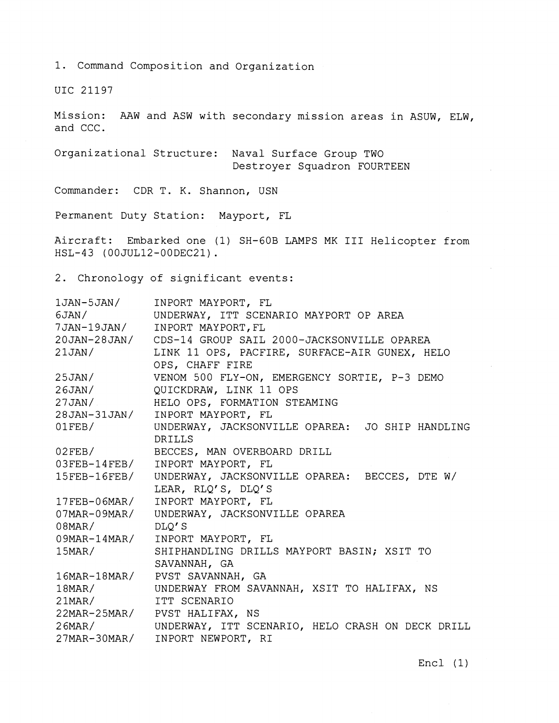1. Command Composition and Organization

UIC 21197

Mission: AAW and ASW with secondary mission areas in ASUW, ELW, and CCC.

Organizational Structure: Naval Surface Group TWO Destroyer Squadron FOURTEEN

Commander: CDR T. K. Shannon, USN

Permanent Duty Station: Mayport, FL

Aircraft: Embarked one (1) SH-GOB LAMPS MK I11 Helicopter from HSL-43 (OOJUL12-OODEC21) .

2. Chronology of significant events:

| 1JAN-5JAN/   | INPORT MAYPORT, FL                                         |
|--------------|------------------------------------------------------------|
| 6JAN/        | UNDERWAY, ITT SCENARIO MAYPORT OP AREA                     |
| 7JAN-19JAN/  | INPORT MAYPORT, FL                                         |
|              | 20JAN-28JAN/ CDS-14 GROUP SAIL 2000-JACKSONVILLE OPAREA    |
| 21JAN/       | LINK 11 OPS, PACFIRE, SURFACE-AIR GUNEX, HELO              |
|              | OPS, CHAFF FIRE                                            |
| 25JAN/       | VENOM 500 FLY-ON, EMERGENCY SORTIE, P-3 DEMO               |
|              | 26JAN/ QUICKDRAW, LINK 11 OPS                              |
| 27JAN/       | HELO OPS, FORMATION STEAMING                               |
| 28JAN-31JAN/ | INPORT MAYPORT, FL                                         |
| $01$ FEB/    | UNDERWAY, JACKSONVILLE OPAREA: JO SHIP HANDLING            |
|              | <b>DRILLS</b>                                              |
|              | 02FEB/ BECCES, MAN OVERBOARD DRILL                         |
|              | 03FEB-14FEB/ INPORT MAYPORT, FL                            |
|              | 15FEB-16FEB/ UNDERWAY, JACKSONVILLE OPAREA: BECCES, DTE W/ |
|              | LEAR, RLQ'S, DLQ'S                                         |
| 17FEB-06MAR/ | INPORT MAYPORT, FL                                         |
| 07MAR-09MAR/ | UNDERWAY, JACKSONVILLE OPAREA                              |
| $08$ MAR $/$ | DLQ'S                                                      |
|              | 09MAR-14MAR/ INPORT MAYPORT, FL                            |
| $15$ MAR $/$ | SHIPHANDLING DRILLS MAYPORT BASIN; XSIT TO                 |
|              | SAVANNAH, GA                                               |
|              | 16MAR-18MAR/ PVST SAVANNAH, GA                             |
| $18$ MAR/    | UNDERWAY FROM SAVANNAH, XSIT TO HALIFAX, NS                |
| $21$ MAR/    | ITT SCENARIO                                               |
|              | 22MAR-25MAR/ PVST HALIFAX, NS                              |
| $26$ MAR $/$ | UNDERWAY, ITT SCENARIO, HELO CRASH ON DECK DRILL           |
| 27MAR-30MAR/ | INPORT NEWPORT, RI                                         |

Encl (1)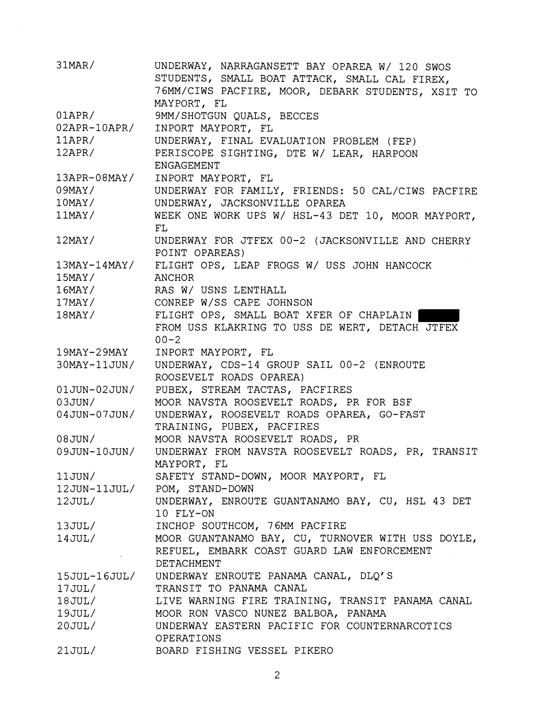| $31$ MAR/           | UNDERWAY, NARRAGANSETT BAY OPAREA W/ 120 SWOS            |
|---------------------|----------------------------------------------------------|
|                     | STUDENTS, SMALL BOAT ATTACK, SMALL CAL FIREX,            |
|                     | 76MM/CIWS PACFIRE, MOOR, DEBARK STUDENTS, XSIT TO        |
|                     | MAYPORT, FL                                              |
| $01$ APR $/$        | 9MM/SHOTGUN QUALS, BECCES                                |
| $02$ APR- $10$ APR/ | INPORT MAYPORT, FL                                       |
| $11$ APR/           | UNDERWAY, FINAL EVALUATION PROBLEM (FEP)                 |
| $12$ APR/           | PERISCOPE SIGHTING, DTE W/ LEAR, HARPOON                 |
|                     | ENGAGEMENT                                               |
| 13APR-08MAY/        | INPORT MAYPORT, FL                                       |
| $09$ MAY /          | UNDERWAY FOR FAMILY, FRIENDS: 50 CAL/CIWS PACFIRE        |
| $10$ MAY/           | UNDERWAY, JACKSONVILLE OPAREA                            |
| $11$ MAY/           | WEEK ONE WORK UPS W/ HSL-43 DET 10, MOOR MAYPORT,        |
|                     | FL                                                       |
| $12$ MAY/           | UNDERWAY FOR JTFEX 00-2 (JACKSONVILLE AND CHERRY         |
|                     | POINT OPAREAS)                                           |
|                     | 13MAY-14MAY/ FLIGHT OPS, LEAP FROGS W/ USS JOHN HANCOCK  |
|                     |                                                          |
|                     | 15MAY/ ANCHOR<br>16MAY/ RAS W/USNS LENTHALL              |
| $17$ MAY/           | CONREP W/SS CAPE JOHNSON                                 |
| $18$ MAY/           | FLIGHT OPS, SMALL BOAT XFER OF CHAPLAIN                  |
|                     | FROM USS KLAKRING TO USS DE WERT, DETACH JTFEX           |
|                     | $00 - 2$                                                 |
| 19MAY-29MAY         | INPORT MAYPORT, FL                                       |
| 30MAY-11JUN/        | UNDERWAY, CDS-14 GROUP SAIL 00-2 (ENROUTE                |
|                     | ROOSEVELT ROADS OPAREA)                                  |
| 01JUN-02JUN/        | PUBEX, STREAM TACTAS, PACFIRES                           |
| 03JUN/              | MOOR NAVSTA ROOSEVELT ROADS, PR FOR BSF                  |
| 04JUN-07JUN/        | UNDERWAY, ROOSEVELT ROADS OPAREA, GO-FAST                |
|                     | TRAINING, PUBEX, PACFIRES                                |
| 08JUN/              | MOOR NAVSTA ROOSEVELT ROADS, PR                          |
| 09JUN-10JUN/        | UNDERWAY FROM NAVSTA ROOSEVELT ROADS, PR, TRANSIT        |
|                     | MAYPORT, FL                                              |
| 11JUN/              | SAFETY STAND-DOWN, MOOR MAYPORT, FL                      |
|                     | 12JUN-11JUL/ POM, STAND-DOWN                             |
| $12$ JUL/ $\,$      | UNDERWAY, ENROUTE GUANTANAMO BAY, CU, HSL 43 DET         |
|                     | 10 FLY-ON                                                |
|                     | 13JUL/ INCHOP SOUTHCOM, 76MM PACFIRE                     |
|                     | 14JUL/ MOOR GUANTANAMO BAY, CU, TURNOVER WITH USS DOYLE, |
|                     | REFUEL, EMBARK COAST GUARD LAW ENFORCEMENT               |
|                     | DETACHMENT                                               |
|                     | 15JUL-16JUL/ UNDERWAY ENROUTE PANAMA CANAL, DLQ'S        |
| 17JUL/              | TRANSIT TO PANAMA CANAL                                  |
|                     | 18JUL/ LIVE WARNING FIRE TRAINING, TRANSIT PANAMA CANAL  |
|                     | 19JUL/ MOOR RON VASCO NUNEZ BALBOA, PANAMA               |
| 20JUL/              | UNDERWAY EASTERN PACIFIC FOR COUNTERNARCOTICS            |
|                     | OPERATIONS                                               |
| 21JUL/              | BOARD FISHING VESSEL PIKERO                              |
|                     |                                                          |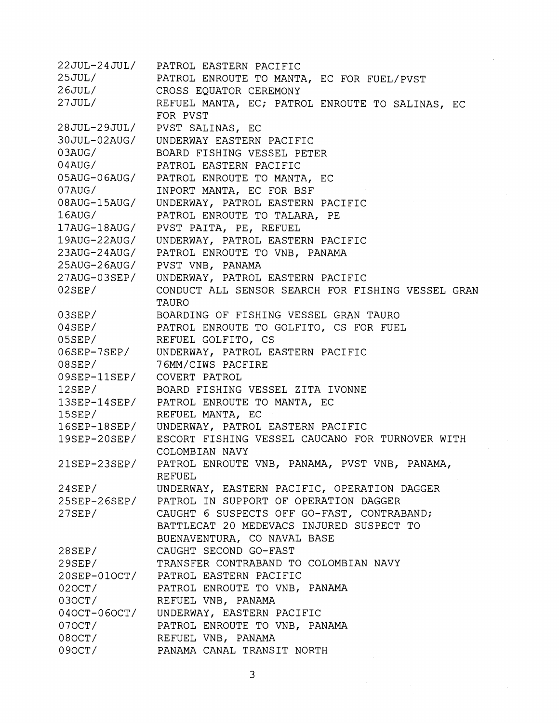22JUL-24JUL/ PATROL EASTERN PACIFIC  $25JUL/$ PATROL ENROUTE TO MANTA, EC FOR FUEL/PVST  $26JUL/$ CROSS EQUATOR CEREMONY  $27JUL/$ REFUEL MANTA, EC; PATROL ENROUTE TO SALINAS, EC FOR PVST 28JUL-29JUL/ PVST SALINAS, EC 30JUL-02AUG/ UNDERWAY EASTERN PACIFIC  $03AUG/$ BOARD FISHING VESSEL PETER  $04AUG/$ PATROL EASTERN PACIFIC PATROL ENROUTE TO MANTA, EC 05AUG-06AUG/ INPORT MANTA, EC FOR BSF  $07AUG/$ 08AUG-15AUG/ UNDERWAY, PATROL EASTERN PACIFIC  $16$ AUG/ PATROL ENROUTE TO TALARA, PE  $17AUG-18AUG/$ PVST PAITA, PE, REFUEL 19AUG-22AUG/ UNDERWAY, PATROL EASTERN PACIFIC 23AUG-24AUG/ PATROL ENROUTE TO VNB, PANAMA 25AUG-26AUG/ PVST VNB, PANAMA 27AUG-03SEP/ UNDERWAY, PATROL EASTERN PACIFIC  $02$ SEP $/$ CONDUCT ALL SENSOR SEARCH FOR FISHING VESSEL GRAN TAURO BOARDING OF FISHING VESSEL GRAN TAURO  $03$ SEP $/$ PATROL ENROUTE TO GOLFITO, CS FOR FUEL  $04$ SEP/ REFUEL GOLFITO, CS  $05$ SEP $/$  $06$ SEP-7SEP/ UNDERWAY, PATROL EASTERN PACIFIC 7 6MM/CIWS PACFIRE 08SEP/  $09$ SEP- $11$ SEP/ COVERT PATROL  $12$ SEP/ BOARD FISHING VESSEL ZITA IVONNE 13SEP-14SEP/ PATROL ENROUTE TO MANTA, EC 15SEP/ REFUEL MANTA, EC UNDERWAY, PATROL EASTERN PACIFIC  $16$ SEP- $18$ SEP/  $19$ SEP-20SEP/ ESCORT FISHING VESSEL CAUCANO FOR TURNOVER WITH COLOMBIAN NAVY PATROL ENROUTE VNB, PANAMA, PVST VNB, PANAMA,  $21$ SEP-23SEP/ REFUEL UNDERWAY, EASTERN PACIFIC, OPERATION DAGGER  $24$ SEP/ 25SEP-26SEP/ PATROL IN SUPPORT OF OPERATION DAGGER CAUGHT 6 SUSPECTS OFF GO-FAST, CONTRABAND;  $27$ SEP/ BATTLECAT 20 MEDEVACS INJURED SUSPECT TO BUENAVENTURA, CO NAVAL BASE CAUGHT SECOND GO-FAST  $28$ SEP/ TRANSFER CONTRABAND TO COLOMBIAN NAVY  $29$ SEP $/$ 20SEP-01OCT/ PATROL EASTERN PACIFIC  $020CT/$ PATROL ENROUTE TO VNB, PANAMA REFUEL VNB, PANAMA 030CT/  $040CT-060CT/$ UNDERWAY, EASTERN PACIFIC  $070CT/$ PATROL ENROUTE TO VNB, PANAMA REFUEL VNB, PANAMA  $080CT/$ PANAMA CANAL TRANSIT NORTH  $090CT/$ 

3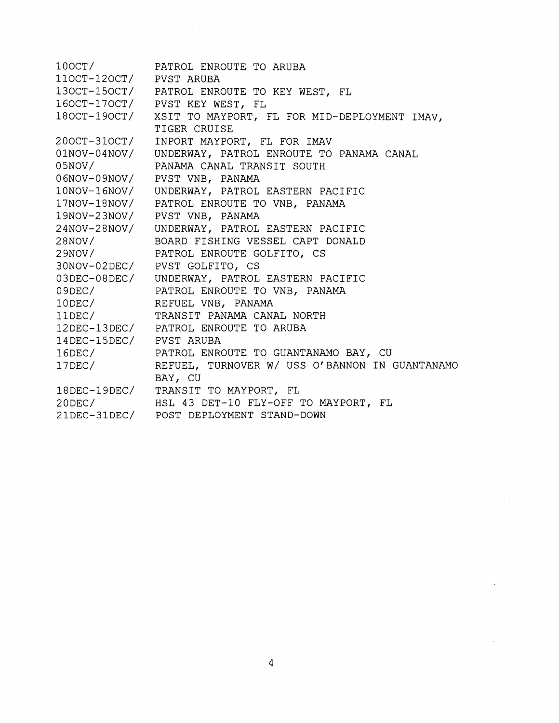$100CT/$ PATROL ENROUTE TO ARUBA 110CT-120CT/ PVST ARUBA PATROL ENROUTE TO KEY WEST, FL 130CT-150CT/  $160CT-170CT/$ PVST KEY WEST, FL 180CT-190CT/ XSIT TO MAYPORT, FL FOR MID-DEPLOYMENT IMAV, TIGER CRUISE 200CT-310CT/ INPORT MAYPORT, FL FOR IMAV  $01NOV-04NOV/$ UNDERWAY, PATROL ENROUTE TO PANAMA CANAL PANAMA CANAL TRANSIT SOUTH  $05NOV/$ 06NOV-09NOV/ PVST VNB, PANAMA 10NOV-16NOV/ UNDERWAY, PATROL EASTERN PACIFIC 17NOV-18NOV/ PATROL ENROUTE TO VNB, PANAMA 19NOV-23NOV/ PVST VNB, PANAMA 24NOV-28NOV/ UNDERWAY, PATROL EASTERN PACIFIC BOARD FISHING VESSEL CAPT DONALD  $28NOV/$  $29NOV/$ PATROL ENROUTE GOLFITO, CS 30NOV-02DEC/ PVST GOLFITO, CS 03DEC-08DEC/ UNDERWAY, PATROL EASTERN PACIFIC PATROL ENROUTE TO VNB, PANAMA  $09$ DEC/  $10$ DEC/ REFUEL VNB, PANAMA  $11$ DEC/ TRANSIT PANAMA CANAL NORTH 12DEC-13DEC/ PATROL ENROUTE TO ARUBA 14DEC-15DEC/ PVST ARUBA PATROL ENROUTE TO GUANTANAMO BAY, CU  $16$ DEC/  $17$ DEC/ REFUEL, TURNOVER W/ USS O'BANNON IN GUANTANAMO BAY, CU  $18$ DEC- $19$ DEC/ TRANSIT TO MAYPORT, FL  $20$ DEC $/$ HSL 43 DET-10 FLY-OFF TO MAYPORT, FL 21DEC-31DEC/ POST DEPLOYMENT STAND-DOWN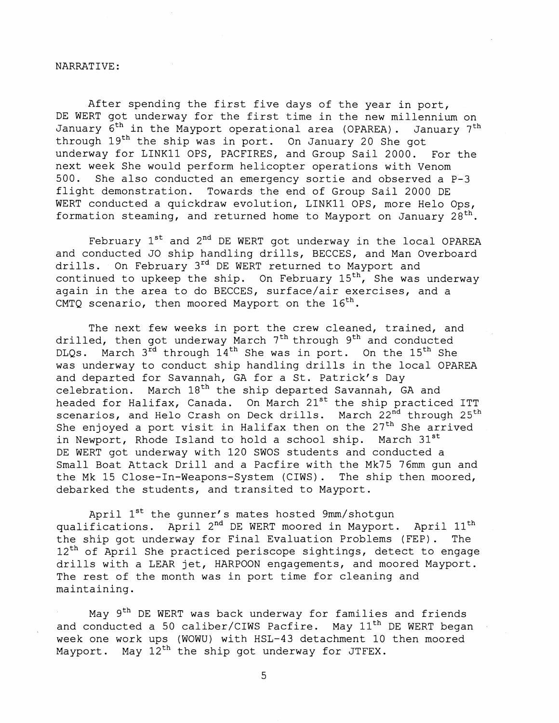## NARRAT IVE :

After spending the first five days of the year in port, DE WERT got underway for the first time in the new millennium on January  $6^{th}$  in the Mayport operational area (OPAREA). January 7<sup>th</sup> through 19<sup>th</sup> the ship was in port. On January 20 She got underway for LINKll OPS, PACFIRES, and Group Sail 2000. For the next week She would perform helicopter operations with Venom 500. She also conducted an emergency sortie and observed a P-3 flight demonstration. Towards the end of Group Sail 2000 DE WERT conducted a quickdraw evolution, LINK11 OPS, more Helo Ops, formation steaming, and returned home to Mayport on January  $28^{th}$ .

February  $1^{st}$  and  $2^{nd}$  DE WERT got underway in the local OPAREA and conducted JO ship handling drills, BECCES, and Man Overboard drills. On February 3rd DE WERT returned to Mayport and continued to upkeep the ship. On February  $15^{th}$ , She was underway again in the area to do BECCES, surface/air exercises, and a CMTQ scenario, then moored Mayport on the  $16<sup>th</sup>$ .

The next few weeks in port the crew cleaned, trained, and drilled, then got underway March 7<sup>th</sup> through 9<sup>th</sup> and conducted DLQs. March 3<sup>rd</sup> through 14<sup>th</sup> She was in port. On the 15<sup>th</sup> She was underway to conduct ship handling drills in the local OPAREA and departed for Savannah, GA for a St. Patrick's Day celebration. March  $18<sup>th</sup>$  the ship departed Savannah, GA and headed for Halifax, Canada. On March 21<sup>st</sup> the ship practiced ITT scenarios, and Helo Crash on Deck drills. March 22<sup>nd</sup> through 25<sup>th</sup> She enjoyed a port visit in Halifax then on the  $27<sup>th</sup>$  She arrived in Newport, Rhode Island to hold a school ship. March 31<sup>st</sup> DE WERT got underway with 120 SWOS students and conducted a Small Boat Attack Drill and a Pacfire with the Mk75 76mm gun and the Mk 15 Close-In-Weapons-System (CIWS). The ship then moored, debarked the students, and transited to Mayport.

April 1<sup>st</sup> the gunner's mates hosted 9mm/shotgun qualifications. April 2<sup>nd</sup> DE WERT moored in Mayport. April 11<sup>th</sup> the ship got underway for Final Evaluation Problems (FEP). The  $12<sup>th</sup>$  of April She practiced periscope sightings, detect to engage drills with a LEAR jet, HARPOON engagements, and moored Mayport. The rest of the month was in port time for cleaning and maintaining.

May 9<sup>th</sup> DE WERT was back underway for families and friends and conducted a 50 caliber/CIWS Pacfire. May  $11<sup>th</sup>$  DE WERT began week one work ups (WOWU) with HSL-43 detachment 10 then moored Mayport. May  $12<sup>th</sup>$  the ship got underway for JTFEX.

5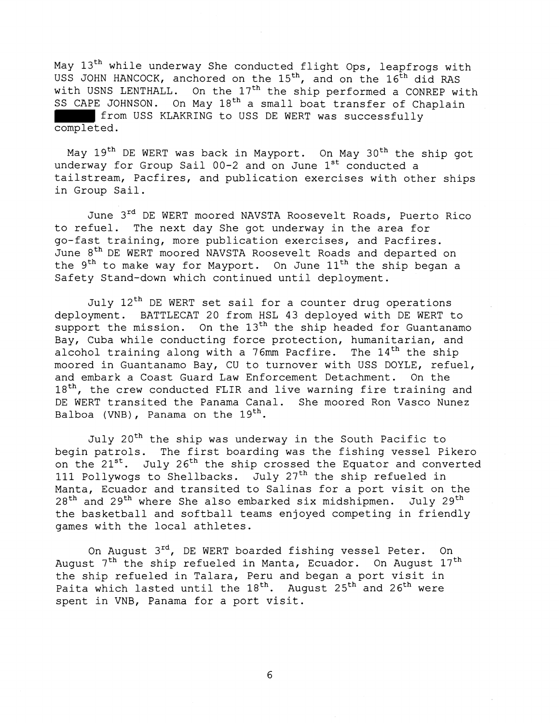May 13<sup>th</sup> while underway She conducted flight Ops, leapfrogs with USS JOHN HANCOCK, anchored on the 15<sup>th</sup>, and on the 16<sup>th</sup> did RAS with USNS LENTHALL. On the 17<sup>th</sup> the ship performed a CONREP with SS CAPE JOHNSON. On May 18<sup>th</sup> a small boat transfer of Chaplain from USS KLAKRING to USS DE WERT was successfully completed.

May 19<sup>th</sup> DE WERT was back in Mayport. On May 30<sup>th</sup> the ship got underway for Group Sail 00-2 and on June 1<sup>st</sup> conducted a tailstream, Pacfires, and publication exercises with other ships in Group Sail.

June 3<sup>rd</sup> DE WERT moored NAVSTA Roosevelt Roads, Puerto Rico to refuel. The next day She got underway in the area for go-fast training, more publication exercises, and Pacfires. June 8<sup>th</sup> DE WERT moored NAVSTA Roosevelt Roads and departed on the  $9<sup>th</sup>$  to make way for Mayport. On June  $11<sup>th</sup>$  the ship began a Safety Stand-down which continued until deployment.

July 12<sup>th</sup> DE WERT set sail for a counter drug operations deployment. BATTLECAT 20 from HSL 43 deployed with DE WERT to support the mission. On the  $13<sup>th</sup>$  the ship headed for Guantanamo Bay, Cuba while conducting force protection, humanitarian, and alcohol training along with a 76mm Pacfire. The  $14<sup>th</sup>$  the ship moored in Guantanamo Bay, CU to turnover with USS DOYLE, refuel, and embark a Coast Guard Law Enforcement Detachment. On the 18<sup>th</sup>, the crew conducted FLIR and live warning fire training and DE WERT transited the Panama Canal. She moored Ron Vasco Nunez Balboa (VNB), Panama on the  $19^{th}$ .

July 20<sup>th</sup> the ship was underway in the South Pacific to begin patrols. The first boarding was the fishing vessel Pikero on the 21<sup>st</sup>. July 26<sup>th</sup> the ship crossed the Equator and converted 111 Pollywogs to Shellbacks. July 27th the ship refueled in Manta, Ecuador and transited to Salinas for a port visit on the  $28<sup>th</sup>$  and  $29<sup>th</sup>$  where She also embarked six midshipmen. July  $29<sup>th</sup>$ the basketball and softball teams enjoyed competing in friendly games with the local athletes.

On August 3<sup>rd</sup>, DE WERT boarded fishing vessel Peter. On August  $7<sup>th</sup>$  the ship refueled in Manta, Ecuador. On August  $17<sup>th</sup>$ the ship refueled in Talara, Peru and began a port visit in Paita which lasted until the  $18^{th}$ . August  $25^{th}$  and  $26^{th}$  were spent in VNB, Panama for a port visit.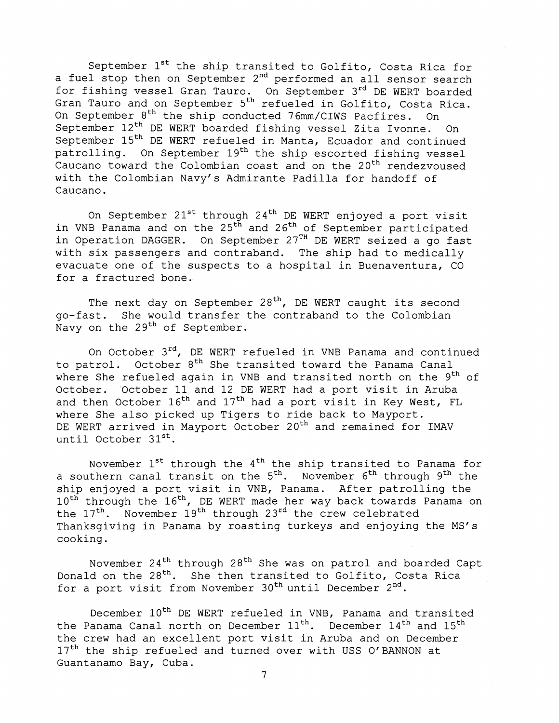September  $1^{st}$  the ship transited to Golfito, Costa Rica for a fuel stop then on September 2<sup>nd</sup> performed an all sensor search for fishing vessel Gran Tauro. On September 3rd DE WERT boarded Gran Tauro and on September 5th refueled in Golfito, Costa Rica. On September 8<sup>th</sup> the ship conducted 76mm/CIWS Pacfires. On September 12<sup>th</sup> DE WERT boarded fishing vessel Zita Ivonne. On September 15<sup>th</sup> DE WERT refueled in Manta, Ecuador and continued patrolling. On September 19<sup>th</sup> the ship escorted fishing vessel Caucano toward the Colombian coast and on the 20<sup>th</sup> rendezvoused with the Colombian Navy's Admirante Padilla for handoff of Caucano .

On September  $21^{st}$  through  $24^{th}$  DE WERT enjoyed a port visit in VNB Panama and on the 25<sup>th</sup> and 26<sup>th</sup> of September participated in Operation DAGGER. On September 27<sup>TH</sup> DE WERT seized a go fast with six passengers and contraband. The ship had to medically evacuate one of the suspects to a hospital in Buenaventura, CO for a fractured bone.

The next day on September  $28<sup>th</sup>$ , DE WERT caught its second go-fast. She would transfer the contraband to the Colombian Navy on the 29<sup>th</sup> of September.

On October 3rd, DE WERT refueled in VNB Panama and continued to patrol. October 8<sup>th</sup> She transited toward the Panama Canal where She refueled again in VNB and transited north on the  $9<sup>th</sup>$  of October. October 11 and 12 DE WERT had a port visit in Aruba and then October  $16<sup>th</sup>$  and  $17<sup>th</sup>$  had a port visit in Key West, FL where She also picked up Tigers to ride back to Mayport. DE WERT arrived in Mayport October 20<sup>th</sup> and remained for IMAV until October  $31^{st}$ .

November  $1^{st}$  through the  $4^{th}$  the ship transited to Panama for a southern canal transit on the  $5<sup>th</sup>$ . November  $6<sup>th</sup>$  through  $9<sup>th</sup>$  the ship enjoyed a port visit in VNB, Panama. After patrolling the 10<sup>th</sup> through the 16<sup>th</sup>, DE WERT made her way back towards Panama on the  $17<sup>th</sup>$ . November  $19<sup>th</sup>$  through  $23<sup>rd</sup>$  the crew celebrated Thanksgiving in Panama by roasting turkeys and enjoying the MS's cooking.

November 24<sup>th</sup> through 28<sup>th</sup> She was on patrol and boarded Capt Donald on the 28<sup>th</sup>. She then transited to Golfito, Costa Rica for a port visit from November 30<sup>th</sup> until December 2<sup>nd</sup>.

December  $10^{th}$  DE WERT refueled in VNB, Panama and transited the Panama Canal north on December  $11^{th}$ . December  $14^{th}$  and  $15^{th}$ the crew had an excellent port visit in Aruba and on December 17<sup>th</sup> the ship refueled and turned over with USS O'BANNON at Guantanamo Bay, Cuba.

7